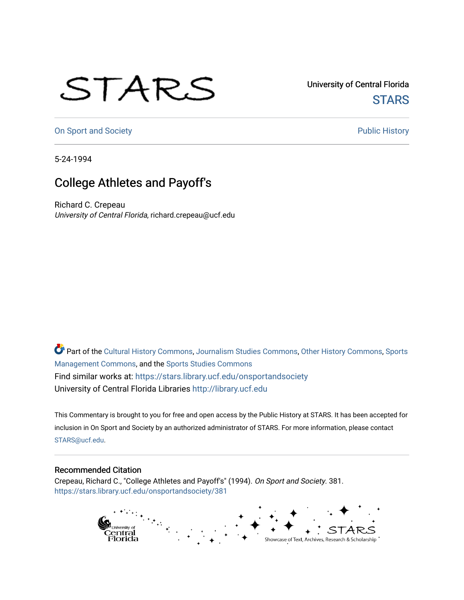## STARS

University of Central Florida **STARS** 

[On Sport and Society](https://stars.library.ucf.edu/onsportandsociety) **Public History** Public History

5-24-1994

## College Athletes and Payoff's

Richard C. Crepeau University of Central Florida, richard.crepeau@ucf.edu

Part of the [Cultural History Commons](http://network.bepress.com/hgg/discipline/496?utm_source=stars.library.ucf.edu%2Fonsportandsociety%2F381&utm_medium=PDF&utm_campaign=PDFCoverPages), [Journalism Studies Commons,](http://network.bepress.com/hgg/discipline/333?utm_source=stars.library.ucf.edu%2Fonsportandsociety%2F381&utm_medium=PDF&utm_campaign=PDFCoverPages) [Other History Commons,](http://network.bepress.com/hgg/discipline/508?utm_source=stars.library.ucf.edu%2Fonsportandsociety%2F381&utm_medium=PDF&utm_campaign=PDFCoverPages) [Sports](http://network.bepress.com/hgg/discipline/1193?utm_source=stars.library.ucf.edu%2Fonsportandsociety%2F381&utm_medium=PDF&utm_campaign=PDFCoverPages) [Management Commons](http://network.bepress.com/hgg/discipline/1193?utm_source=stars.library.ucf.edu%2Fonsportandsociety%2F381&utm_medium=PDF&utm_campaign=PDFCoverPages), and the [Sports Studies Commons](http://network.bepress.com/hgg/discipline/1198?utm_source=stars.library.ucf.edu%2Fonsportandsociety%2F381&utm_medium=PDF&utm_campaign=PDFCoverPages) Find similar works at: <https://stars.library.ucf.edu/onsportandsociety> University of Central Florida Libraries [http://library.ucf.edu](http://library.ucf.edu/) 

This Commentary is brought to you for free and open access by the Public History at STARS. It has been accepted for inclusion in On Sport and Society by an authorized administrator of STARS. For more information, please contact [STARS@ucf.edu](mailto:STARS@ucf.edu).

## Recommended Citation

Crepeau, Richard C., "College Athletes and Payoff's" (1994). On Sport and Society. 381. [https://stars.library.ucf.edu/onsportandsociety/381](https://stars.library.ucf.edu/onsportandsociety/381?utm_source=stars.library.ucf.edu%2Fonsportandsociety%2F381&utm_medium=PDF&utm_campaign=PDFCoverPages)

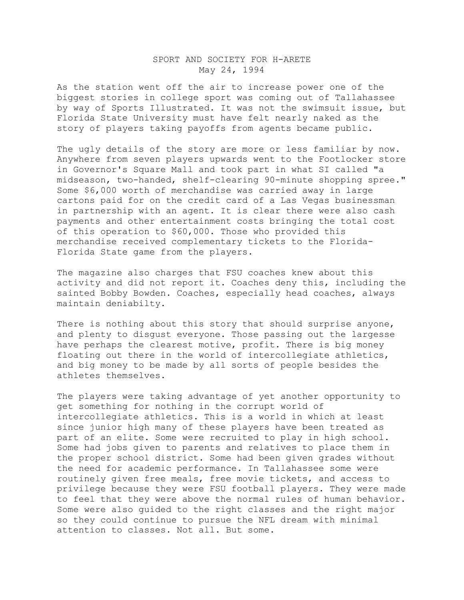## SPORT AND SOCIETY FOR H-ARETE May 24, 1994

As the station went off the air to increase power one of the biggest stories in college sport was coming out of Tallahassee by way of Sports Illustrated. It was not the swimsuit issue, but Florida State University must have felt nearly naked as the story of players taking payoffs from agents became public.

The ugly details of the story are more or less familiar by now. Anywhere from seven players upwards went to the Footlocker store in Governor's Square Mall and took part in what SI called "a midseason, two-handed, shelf-clearing 90-minute shopping spree." Some \$6,000 worth of merchandise was carried away in large cartons paid for on the credit card of a Las Vegas businessman in partnership with an agent. It is clear there were also cash payments and other entertainment costs bringing the total cost of this operation to \$60,000. Those who provided this merchandise received complementary tickets to the Florida-Florida State game from the players.

The magazine also charges that FSU coaches knew about this activity and did not report it. Coaches deny this, including the sainted Bobby Bowden. Coaches, especially head coaches, always maintain deniabilty.

There is nothing about this story that should surprise anyone, and plenty to disgust everyone. Those passing out the largesse have perhaps the clearest motive, profit. There is big money floating out there in the world of intercollegiate athletics, and big money to be made by all sorts of people besides the athletes themselves.

The players were taking advantage of yet another opportunity to get something for nothing in the corrupt world of intercollegiate athletics. This is a world in which at least since junior high many of these players have been treated as part of an elite. Some were recruited to play in high school. Some had jobs given to parents and relatives to place them in the proper school district. Some had been given grades without the need for academic performance. In Tallahassee some were routinely given free meals, free movie tickets, and access to privilege because they were FSU football players. They were made to feel that they were above the normal rules of human behavior. Some were also guided to the right classes and the right major so they could continue to pursue the NFL dream with minimal attention to classes. Not all. But some.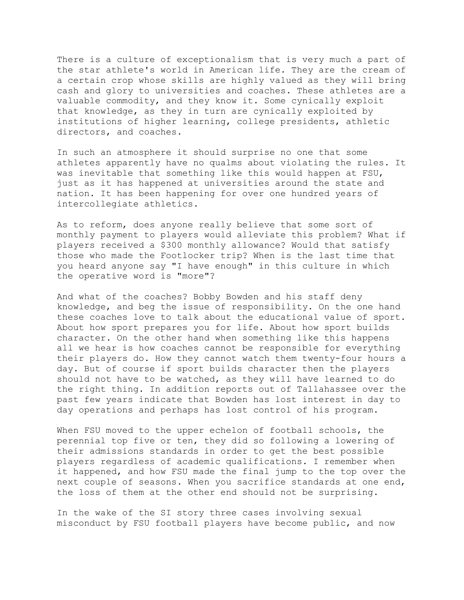There is a culture of exceptionalism that is very much a part of the star athlete's world in American life. They are the cream of a certain crop whose skills are highly valued as they will bring cash and glory to universities and coaches. These athletes are a valuable commodity, and they know it. Some cynically exploit that knowledge, as they in turn are cynically exploited by institutions of higher learning, college presidents, athletic directors, and coaches.

In such an atmosphere it should surprise no one that some athletes apparently have no qualms about violating the rules. It was inevitable that something like this would happen at FSU, just as it has happened at universities around the state and nation. It has been happening for over one hundred years of intercollegiate athletics.

As to reform, does anyone really believe that some sort of monthly payment to players would alleviate this problem? What if players received a \$300 monthly allowance? Would that satisfy those who made the Footlocker trip? When is the last time that you heard anyone say "I have enough" in this culture in which the operative word is "more"?

And what of the coaches? Bobby Bowden and his staff deny knowledge, and beg the issue of responsibility. On the one hand these coaches love to talk about the educational value of sport. About how sport prepares you for life. About how sport builds character. On the other hand when something like this happens all we hear is how coaches cannot be responsible for everything their players do. How they cannot watch them twenty-four hours a day. But of course if sport builds character then the players should not have to be watched, as they will have learned to do the right thing. In addition reports out of Tallahassee over the past few years indicate that Bowden has lost interest in day to day operations and perhaps has lost control of his program.

When FSU moved to the upper echelon of football schools, the perennial top five or ten, they did so following a lowering of their admissions standards in order to get the best possible players regardless of academic qualifications. I remember when it happened, and how FSU made the final jump to the top over the next couple of seasons. When you sacrifice standards at one end, the loss of them at the other end should not be surprising.

In the wake of the SI story three cases involving sexual misconduct by FSU football players have become public, and now